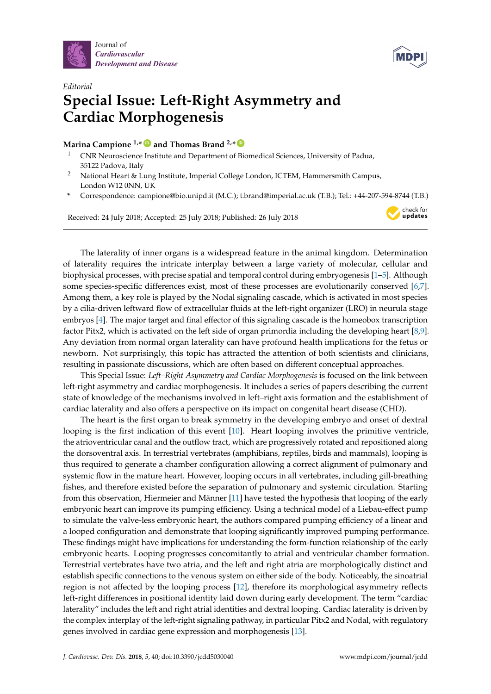



check for<br>**updates** 

## *Editorial* **Special Issue: Left-Right Asymmetry and Cardiac Morphogenesis**

## **Marina Campione 1,\* [ID](https://orcid.org/0000-0003-0582-5303) and Thomas Brand 2,\* [ID](https://orcid.org/0000-0001-7090-5356)**

- <sup>1</sup> CNR Neuroscience Institute and Department of Biomedical Sciences, University of Padua, 35122 Padova, Italy
- <sup>2</sup> National Heart & Lung Institute, Imperial College London, ICTEM, Hammersmith Campus, London W12 0NN, UK
- **\*** Correspondence: campione@bio.unipd.it (M.C.); t.brand@imperial.ac.uk (T.B.); Tel.: +44-207-594-8744 (T.B.)

Received: 24 July 2018; Accepted: 25 July 2018; Published: 26 July 2018

The laterality of inner organs is a widespread feature in the animal kingdom. Determination of laterality requires the intricate interplay between a large variety of molecular, cellular and biophysical processes, with precise spatial and temporal control during embryogenesis [\[1](#page-1-0)[–5\]](#page-2-0). Although some species-specific differences exist, most of these processes are evolutionarily conserved [\[6,](#page-2-1)[7\]](#page-2-2). Among them, a key role is played by the Nodal signaling cascade, which is activated in most species by a cilia-driven leftward flow of extracellular fluids at the left-right organizer (LRO) in neurula stage embryos [\[4\]](#page-1-1). The major target and final effector of this signaling cascade is the homeobox transcription factor Pitx2, which is activated on the left side of organ primordia including the developing heart [\[8](#page-2-3)[,9\]](#page-2-4). Any deviation from normal organ laterality can have profound health implications for the fetus or newborn. Not surprisingly, this topic has attracted the attention of both scientists and clinicians, resulting in passionate discussions, which are often based on different conceptual approaches.

This Special Issue: *Left–Right Asymmetry and Cardiac Morphogenesis* is focused on the link between left-right asymmetry and cardiac morphogenesis. It includes a series of papers describing the current state of knowledge of the mechanisms involved in left–right axis formation and the establishment of cardiac laterality and also offers a perspective on its impact on congenital heart disease (CHD).

The heart is the first organ to break symmetry in the developing embryo and onset of dextral looping is the first indication of this event [\[10\]](#page-2-5). Heart looping involves the primitive ventricle, the atrioventricular canal and the outflow tract, which are progressively rotated and repositioned along the dorsoventral axis. In terrestrial vertebrates (amphibians, reptiles, birds and mammals), looping is thus required to generate a chamber configuration allowing a correct alignment of pulmonary and systemic flow in the mature heart. However, looping occurs in all vertebrates, including gill-breathing fishes, and therefore existed before the separation of pulmonary and systemic circulation. Starting from this observation, Hiermeier and Männer [\[11\]](#page-2-6) have tested the hypothesis that looping of the early embryonic heart can improve its pumping efficiency. Using a technical model of a Liebau-effect pump to simulate the valve-less embryonic heart, the authors compared pumping efficiency of a linear and a looped configuration and demonstrate that looping significantly improved pumping performance. These findings might have implications for understanding the form-function relationship of the early embryonic hearts. Looping progresses concomitantly to atrial and ventricular chamber formation. Terrestrial vertebrates have two atria, and the left and right atria are morphologically distinct and establish specific connections to the venous system on either side of the body. Noticeably, the sinoatrial region is not affected by the looping process [\[12\]](#page-2-7), therefore its morphological asymmetry reflects left-right differences in positional identity laid down during early development. The term "cardiac laterality" includes the left and right atrial identities and dextral looping. Cardiac laterality is driven by the complex interplay of the left-right signaling pathway, in particular Pitx2 and Nodal, with regulatory genes involved in cardiac gene expression and morphogenesis [\[13\]](#page-2-8).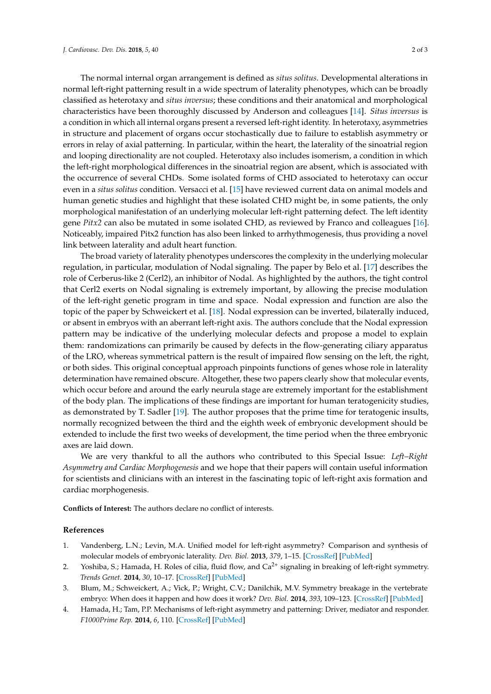The normal internal organ arrangement is defined as *situs solitus*. Developmental alterations in normal left-right patterning result in a wide spectrum of laterality phenotypes, which can be broadly classified as heterotaxy and *situs inversus*; these conditions and their anatomical and morphological characteristics have been thoroughly discussed by Anderson and colleagues [\[14\]](#page-2-9). *Situs inversus* is a condition in which all internal organs present a reversed left-right identity. In heterotaxy, asymmetries in structure and placement of organs occur stochastically due to failure to establish asymmetry or errors in relay of axial patterning. In particular, within the heart, the laterality of the sinoatrial region and looping directionality are not coupled. Heterotaxy also includes isomerism, a condition in which the left-right morphological differences in the sinoatrial region are absent, which is associated with the occurrence of several CHDs. Some isolated forms of CHD associated to heterotaxy can occur even in a *situs solitus* condition. Versacci et al. [\[15\]](#page-2-10) have reviewed current data on animal models and human genetic studies and highlight that these isolated CHD might be, in some patients, the only morphological manifestation of an underlying molecular left-right patterning defect. The left identity gene *Pitx2* can also be mutated in some isolated CHD, as reviewed by Franco and colleagues [\[16\]](#page-2-11). Noticeably, impaired Pitx2 function has also been linked to arrhythmogenesis, thus providing a novel link between laterality and adult heart function.

The broad variety of laterality phenotypes underscores the complexity in the underlying molecular regulation, in particular, modulation of Nodal signaling. The paper by Belo et al. [\[17\]](#page-2-12) describes the role of Cerberus-like 2 (Cerl2), an inhibitor of Nodal. As highlighted by the authors, the tight control that Cerl2 exerts on Nodal signaling is extremely important, by allowing the precise modulation of the left-right genetic program in time and space. Nodal expression and function are also the topic of the paper by Schweickert et al. [\[18\]](#page-2-13). Nodal expression can be inverted, bilaterally induced, or absent in embryos with an aberrant left-right axis. The authors conclude that the Nodal expression pattern may be indicative of the underlying molecular defects and propose a model to explain them: randomizations can primarily be caused by defects in the flow-generating ciliary apparatus of the LRO, whereas symmetrical pattern is the result of impaired flow sensing on the left, the right, or both sides. This original conceptual approach pinpoints functions of genes whose role in laterality determination have remained obscure. Altogether, these two papers clearly show that molecular events, which occur before and around the early neurula stage are extremely important for the establishment of the body plan. The implications of these findings are important for human teratogenicity studies, as demonstrated by T. Sadler [\[19\]](#page-2-14). The author proposes that the prime time for teratogenic insults, normally recognized between the third and the eighth week of embryonic development should be extended to include the first two weeks of development, the time period when the three embryonic axes are laid down.

We are very thankful to all the authors who contributed to this Special Issue: *Left–Right Asymmetry and Cardiac Morphogenesis* and we hope that their papers will contain useful information for scientists and clinicians with an interest in the fascinating topic of left-right axis formation and cardiac morphogenesis.

**Conflicts of Interest:** The authors declare no conflict of interests.

## **References**

- <span id="page-1-0"></span>1. Vandenberg, L.N.; Levin, M.A. Unified model for left-right asymmetry? Comparison and synthesis of molecular models of embryonic laterality. *Dev. Biol.* **2013**, *379*, 1–15. [\[CrossRef\]](http://dx.doi.org/10.1016/j.ydbio.2013.03.021) [\[PubMed\]](http://www.ncbi.nlm.nih.gov/pubmed/23583583)
- 2. Yoshiba, S.; Hamada, H. Roles of cilia, fluid flow, and  $Ca^{2+}$  signaling in breaking of left-right symmetry. *Trends Genet.* **2014**, *30*, 10–17. [\[CrossRef\]](http://dx.doi.org/10.1016/j.tig.2013.09.001) [\[PubMed\]](http://www.ncbi.nlm.nih.gov/pubmed/24091059)
- 3. Blum, M.; Schweickert, A.; Vick, P.; Wright, C.V.; Danilchik, M.V. Symmetry breakage in the vertebrate embryo: When does it happen and how does it work? *Dev. Biol.* **2014**, *393*, 109–123. [\[CrossRef\]](http://dx.doi.org/10.1016/j.ydbio.2014.06.014) [\[PubMed\]](http://www.ncbi.nlm.nih.gov/pubmed/24972089)
- <span id="page-1-1"></span>4. Hamada, H.; Tam, P.P. Mechanisms of left-right asymmetry and patterning: Driver, mediator and responder. *F1000Prime Rep.* **2014**, *6*, 110. [\[CrossRef\]](http://dx.doi.org/10.12703/P6-110) [\[PubMed\]](http://www.ncbi.nlm.nih.gov/pubmed/25580264)